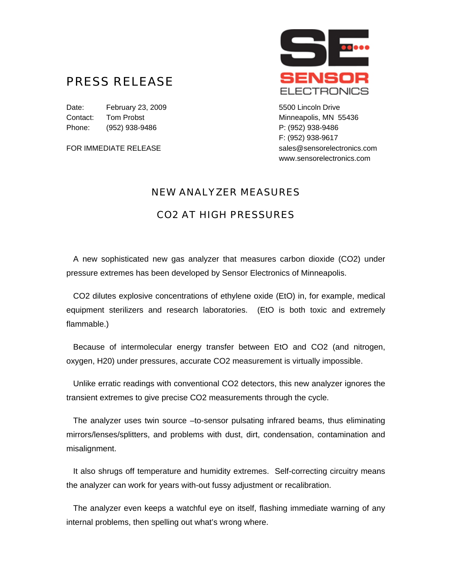## PRESS RELEASE

Date: February 23, 2009 Charles Contract Control Charles Control Charles Control Date: The February 23, 2009 Contact: Tom Probst Minneapolis, MN 55436 Phone: (952) 938-9486 P: (952) 938-9486



F: (952) 938-9617 FOR IMMEDIATE RELEASE sales@sensorelectronics.com www.sensorelectronics.com

## NEW ANALYZER MEASURES

## CO2 AT HIGH PRESSURES

 A new sophisticated new gas analyzer that measures carbon dioxide (CO2) under pressure extremes has been developed by Sensor Electronics of Minneapolis.

 CO2 dilutes explosive concentrations of ethylene oxide (EtO) in, for example, medical equipment sterilizers and research laboratories. (EtO is both toxic and extremely flammable.)

 Because of intermolecular energy transfer between EtO and CO2 (and nitrogen, oxygen, H20) under pressures, accurate CO2 measurement is virtually impossible.

 Unlike erratic readings with conventional CO2 detectors, this new analyzer ignores the transient extremes to give precise CO2 measurements through the cycle.

 The analyzer uses twin source –to-sensor pulsating infrared beams, thus eliminating mirrors/lenses/splitters, and problems with dust, dirt, condensation, contamination and misalignment.

 It also shrugs off temperature and humidity extremes. Self-correcting circuitry means the analyzer can work for years with-out fussy adjustment or recalibration.

 The analyzer even keeps a watchful eye on itself, flashing immediate warning of any internal problems, then spelling out what's wrong where.